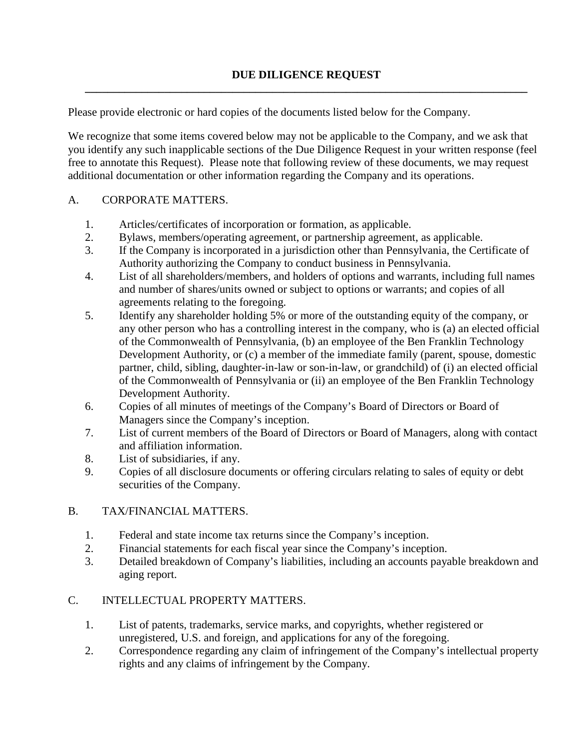Please provide electronic or hard copies of the documents listed below for the Company.

We recognize that some items covered below may not be applicable to the Company, and we ask that you identify any such inapplicable sections of the Due Diligence Request in your written response (feel free to annotate this Request). Please note that following review of these documents, we may request additional documentation or other information regarding the Company and its operations.

### A. CORPORATE MATTERS.

- 1. Articles/certificates of incorporation or formation, as applicable.
- 2. Bylaws, members/operating agreement, or partnership agreement, as applicable.
- 3. If the Company is incorporated in a jurisdiction other than Pennsylvania, the Certificate of Authority authorizing the Company to conduct business in Pennsylvania.
- 4. List of all shareholders/members, and holders of options and warrants, including full names and number of shares/units owned or subject to options or warrants; and copies of all agreements relating to the foregoing.
- 5. Identify any shareholder holding 5% or more of the outstanding equity of the company, or any other person who has a controlling interest in the company, who is (a) an elected official of the Commonwealth of Pennsylvania, (b) an employee of the Ben Franklin Technology Development Authority, or (c) a member of the immediate family (parent, spouse, domestic partner, child, sibling, daughter-in-law or son-in-law, or grandchild) of (i) an elected official of the Commonwealth of Pennsylvania or (ii) an employee of the Ben Franklin Technology Development Authority.
- 6. Copies of all minutes of meetings of the Company's Board of Directors or Board of Managers since the Company's inception.
- 7. List of current members of the Board of Directors or Board of Managers, along with contact and affiliation information.
- 8. List of subsidiaries, if any.
- 9. Copies of all disclosure documents or offering circulars relating to sales of equity or debt securities of the Company.

# B. TAX/FINANCIAL MATTERS.

- 1. Federal and state income tax returns since the Company's inception.
- 2. Financial statements for each fiscal year since the Company's inception.
- 3. Detailed breakdown of Company's liabilities, including an accounts payable breakdown and aging report.

# C. INTELLECTUAL PROPERTY MATTERS.

- 1. List of patents, trademarks, service marks, and copyrights, whether registered or unregistered, U.S. and foreign, and applications for any of the foregoing.
- 2. Correspondence regarding any claim of infringement of the Company's intellectual property rights and any claims of infringement by the Company.